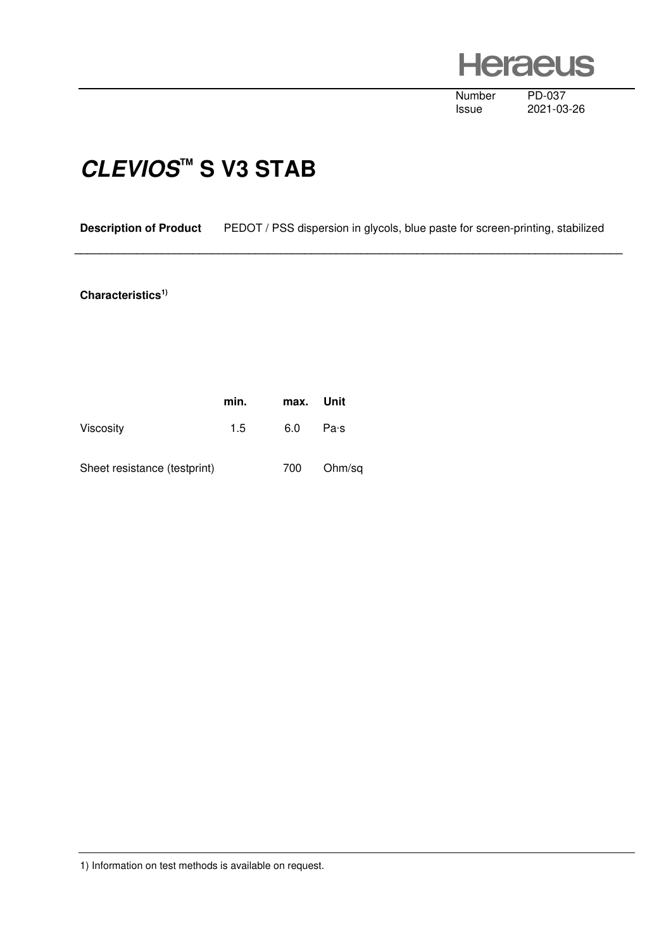**Heraeus** 

Number PD-037<br>Issue 2021-03

2021-03-26

## **CLEVIOS™ S V3 STAB**

**Description of Product** PEDOT / PSS dispersion in glycols, blue paste for screen-printing, stabilized

 **\_\_\_\_\_\_\_\_\_\_\_\_\_\_\_\_\_\_\_\_\_\_\_\_\_\_\_\_\_\_\_\_\_\_\_\_\_\_\_\_\_\_\_\_\_\_\_\_\_\_\_\_\_\_\_\_\_\_\_\_\_\_\_\_\_\_\_\_\_\_\_\_\_\_\_\_\_\_\_\_\_\_\_\_\_\_\_\_** 

## **Characteristics1)**

|                              | min. | max. Unit |        |
|------------------------------|------|-----------|--------|
| <b>Viscosity</b>             | 1.5  | 6.0       | Pa·s   |
| Sheet resistance (testprint) |      | 700       | Ohm/sq |

1) Information on test methods is available on request.